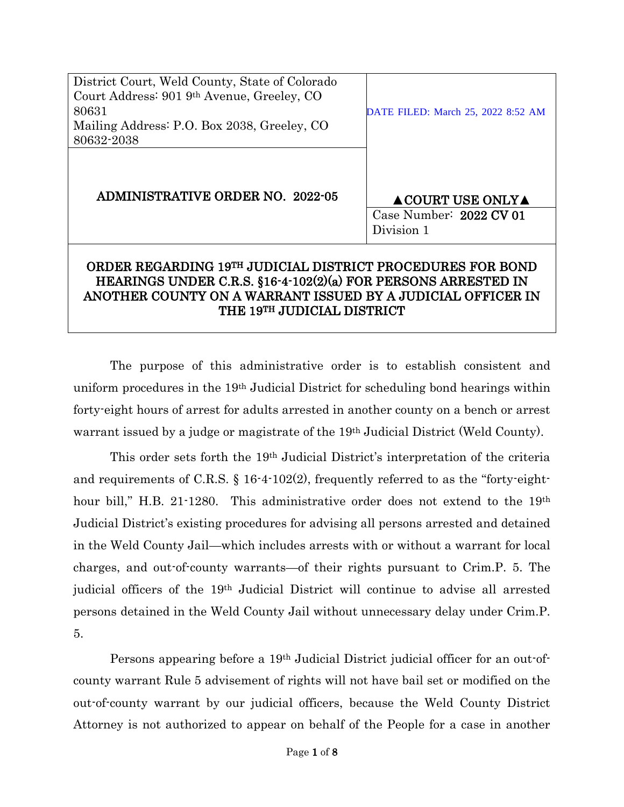| District Court, Weld County, State of Colorado<br>Court Address: 901 9th Avenue, Greeley, CO<br>80631<br>Mailing Address: P.O. Box 2038, Greeley, CO<br>80632-2038                                       | DATE FILED: March 25, 2022 8:52 AM                                |
|----------------------------------------------------------------------------------------------------------------------------------------------------------------------------------------------------------|-------------------------------------------------------------------|
| <b>ADMINISTRATIVE ORDER NO. 2022-05</b>                                                                                                                                                                  | $\triangle$ COURT USE ONLY $\triangle$<br>Case Number: 2022 CV 01 |
| Division 1<br>ORDER REGARDING 19TH JUDICIAL DISTRICT PROCEDURES FOR BOND<br>HEARINGS UNDER C.R.S. §16-4-102(2)(a) FOR PERSONS ARRESTED IN<br>ANOTHER COUNTY ON A WARRANT ISSUED BY A JUDICIAL OFFICER IN |                                                                   |

The purpose of this administrative order is to establish consistent and uniform procedures in the 19th Judicial District for scheduling bond hearings within forty-eight hours of arrest for adults arrested in another county on a bench or arrest warrant issued by a judge or magistrate of the 19th Judicial District (Weld County).

THE 19TH JUDICIAL DISTRICT

This order sets forth the 19th Judicial District's interpretation of the criteria and requirements of C.R.S. § 16-4-102(2), frequently referred to as the "forty-eighthour bill," H.B. 21-1280. This administrative order does not extend to the 19<sup>th</sup> Judicial District's existing procedures for advising all persons arrested and detained in the Weld County Jail—which includes arrests with or without a warrant for local charges, and out-of-county warrants—of their rights pursuant to Crim.P. 5. The judicial officers of the 19th Judicial District will continue to advise all arrested persons detained in the Weld County Jail without unnecessary delay under Crim.P. 5.

Persons appearing before a 19th Judicial District judicial officer for an out-ofcounty warrant Rule 5 advisement of rights will not have bail set or modified on the out-of-county warrant by our judicial officers, because the Weld County District Attorney is not authorized to appear on behalf of the People for a case in another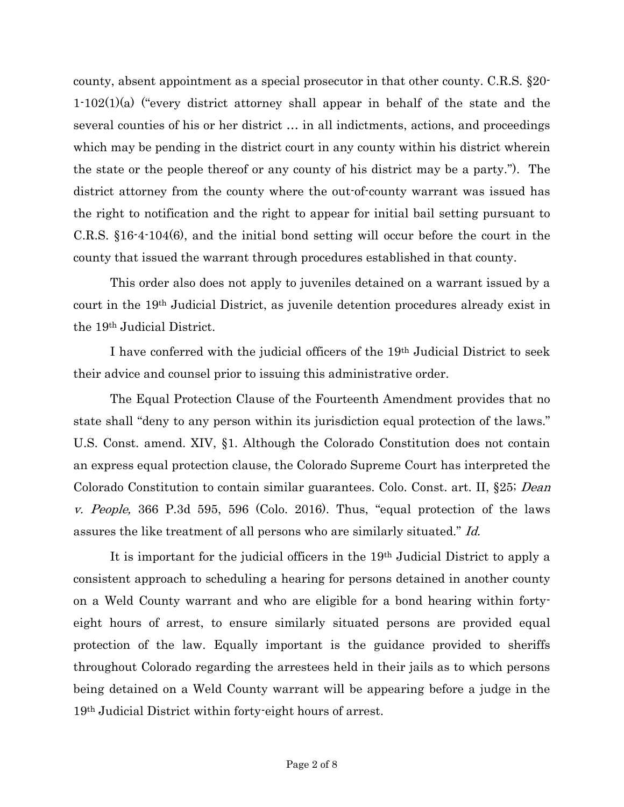county, absent appointment as a special prosecutor in that other county. C.R.S. §20- 1-102(1)(a) ("every district attorney shall appear in behalf of the state and the several counties of his or her district … in all indictments, actions, and proceedings which may be pending in the district court in any county within his district wherein the state or the people thereof or any county of his district may be a party."). The district attorney from the county where the out-of-county warrant was issued has the right to notification and the right to appear for initial bail setting pursuant to C.R.S. §16-4-104(6), and the initial bond setting will occur before the court in the county that issued the warrant through procedures established in that county.

This order also does not apply to juveniles detained on a warrant issued by a court in the 19th Judicial District, as juvenile detention procedures already exist in the 19th Judicial District.

I have conferred with the judicial officers of the 19th Judicial District to seek their advice and counsel prior to issuing this administrative order.

The Equal Protection Clause of the Fourteenth Amendment provides that no state shall "deny to any person within its jurisdiction equal protection of the laws." U.S. Const. amend. XIV, §1. Although the Colorado Constitution does not contain an express equal protection clause, the Colorado Supreme Court has interpreted the Colorado Constitution to contain similar guarantees. Colo. Const. art. II, §25; Dean v. People, 366 P.3d 595, 596 (Colo. 2016). Thus, "equal protection of the laws assures the like treatment of all persons who are similarly situated." Id.

It is important for the judicial officers in the 19th Judicial District to apply a consistent approach to scheduling a hearing for persons detained in another county on a Weld County warrant and who are eligible for a bond hearing within fortyeight hours of arrest, to ensure similarly situated persons are provided equal protection of the law. Equally important is the guidance provided to sheriffs throughout Colorado regarding the arrestees held in their jails as to which persons being detained on a Weld County warrant will be appearing before a judge in the 19th Judicial District within forty-eight hours of arrest.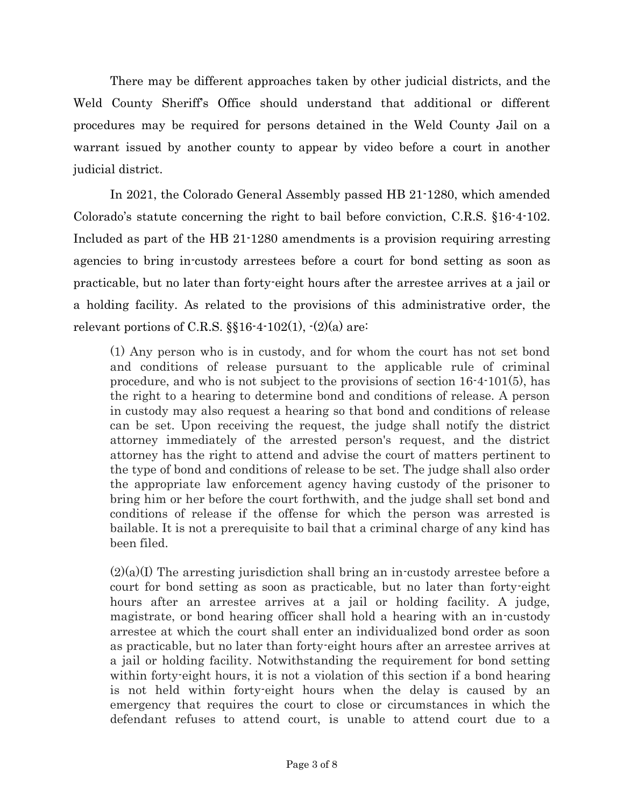There may be different approaches taken by other judicial districts, and the Weld County Sheriff's Office should understand that additional or different procedures may be required for persons detained in the Weld County Jail on a warrant issued by another county to appear by video before a court in another judicial district.

In 2021, the Colorado General Assembly passed HB 21-1280, which amended Colorado's statute concerning the right to bail before conviction, C.R.S. §16-4-102. Included as part of the HB 21-1280 amendments is a provision requiring arresting agencies to bring in-custody arrestees before a court for bond setting as soon as practicable, but no later than forty-eight hours after the arrestee arrives at a jail or a holding facility. As related to the provisions of this administrative order, the relevant portions of C.R.S.  $\S$ 16-4-102(1), -(2)(a) are:

(1) Any person who is in custody, and for whom the court has not set bond and conditions of release pursuant to the applicable rule of criminal procedure, and who is not subject to the provisions of section 16-4-101(5), has the right to a hearing to determine bond and conditions of release. A person in custody may also request a hearing so that bond and conditions of release can be set. Upon receiving the request, the judge shall notify the district attorney immediately of the arrested person's request, and the district attorney has the right to attend and advise the court of matters pertinent to the type of bond and conditions of release to be set. The judge shall also order the appropriate law enforcement agency having custody of the prisoner to bring him or her before the court forthwith, and the judge shall set bond and conditions of release if the offense for which the person was arrested is bailable. It is not a prerequisite to bail that a criminal charge of any kind has been filed.

 $(2)(a)$ (I) The arresting jurisdiction shall bring an in-custody arrestee before a court for bond setting as soon as practicable, but no later than forty-eight hours after an arrestee arrives at a jail or holding facility. A judge, magistrate, or bond hearing officer shall hold a hearing with an in-custody arrestee at which the court shall enter an individualized bond order as soon as practicable, but no later than forty-eight hours after an arrestee arrives at a jail or holding facility. Notwithstanding the requirement for bond setting within forty-eight hours, it is not a violation of this section if a bond hearing is not held within forty-eight hours when the delay is caused by an emergency that requires the court to close or circumstances in which the defendant refuses to attend court, is unable to attend court due to a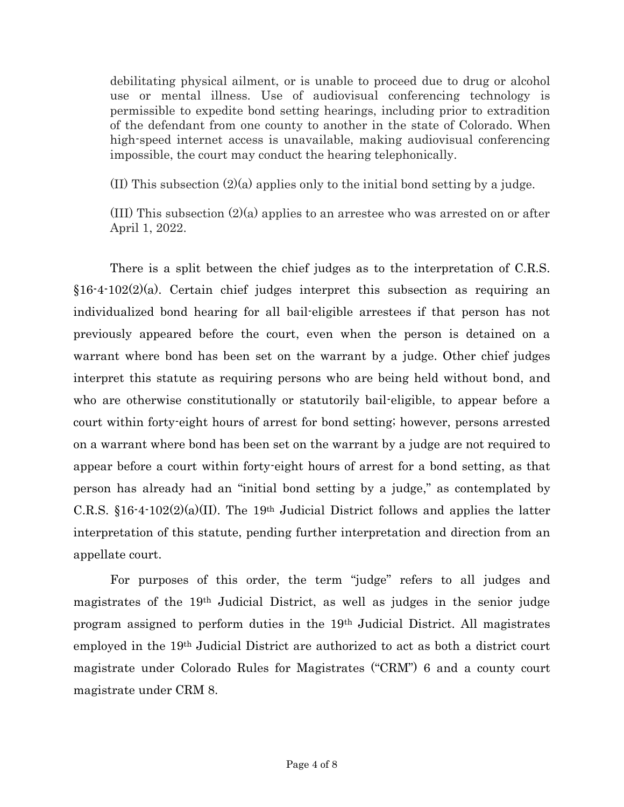debilitating physical ailment, or is unable to proceed due to drug or alcohol use or mental illness. Use of audiovisual conferencing technology is permissible to expedite bond setting hearings, including prior to extradition of the defendant from one county to another in the state of Colorado. When high-speed internet access is unavailable, making audiovisual conferencing impossible, the court may conduct the hearing telephonically.

(II) This subsection  $(2)(a)$  applies only to the initial bond setting by a judge.

(III) This subsection (2)(a) applies to an arrestee who was arrested on or after April 1, 2022.

There is a split between the chief judges as to the interpretation of C.R.S. §16-4-102(2)(a). Certain chief judges interpret this subsection as requiring an individualized bond hearing for all bail-eligible arrestees if that person has not previously appeared before the court, even when the person is detained on a warrant where bond has been set on the warrant by a judge. Other chief judges interpret this statute as requiring persons who are being held without bond, and who are otherwise constitutionally or statutorily bail-eligible, to appear before a court within forty-eight hours of arrest for bond setting; however, persons arrested on a warrant where bond has been set on the warrant by a judge are not required to appear before a court within forty-eight hours of arrest for a bond setting, as that person has already had an "initial bond setting by a judge," as contemplated by C.R.S.  $$16-4-102(2)(a)(II)$ . The 19<sup>th</sup> Judicial District follows and applies the latter interpretation of this statute, pending further interpretation and direction from an appellate court.

For purposes of this order, the term "judge" refers to all judges and magistrates of the 19th Judicial District, as well as judges in the senior judge program assigned to perform duties in the 19th Judicial District. All magistrates employed in the 19th Judicial District are authorized to act as both a district court magistrate under Colorado Rules for Magistrates ("CRM") 6 and a county court magistrate under CRM 8.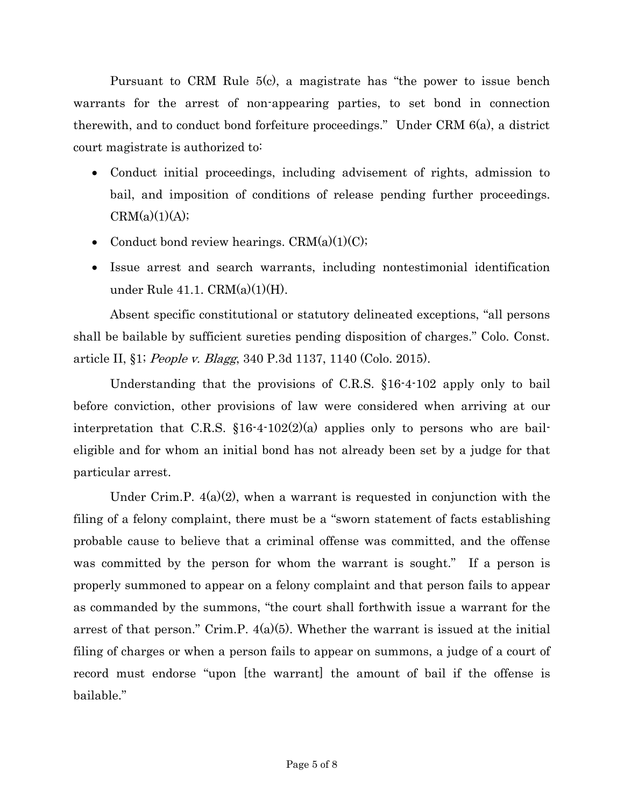Pursuant to CRM Rule 5(c), a magistrate has "the power to issue bench warrants for the arrest of non-appearing parties, to set bond in connection therewith, and to conduct bond forfeiture proceedings." Under CRM 6(a), a district court magistrate is authorized to:

- Conduct initial proceedings, including advisement of rights, admission to bail, and imposition of conditions of release pending further proceedings.  $CRM(a)(1)(A);$
- Conduct bond review hearings.  $CRM(a)(1)(C);$
- Issue arrest and search warrants, including nontestimonial identification under Rule 41.1. CRM(a)(1)(H).

Absent specific constitutional or statutory delineated exceptions, "all persons shall be bailable by sufficient sureties pending disposition of charges." Colo. Const. article II, §1; People v. Blagg, 340 P.3d 1137, 1140 (Colo. 2015).

Understanding that the provisions of C.R.S. §16-4-102 apply only to bail before conviction, other provisions of law were considered when arriving at our interpretation that C.R.S. §16-4-102(2)(a) applies only to persons who are baileligible and for whom an initial bond has not already been set by a judge for that particular arrest.

Under Crim.P.  $4(a)(2)$ , when a warrant is requested in conjunction with the filing of a felony complaint, there must be a "sworn statement of facts establishing probable cause to believe that a criminal offense was committed, and the offense was committed by the person for whom the warrant is sought." If a person is properly summoned to appear on a felony complaint and that person fails to appear as commanded by the summons, "the court shall forthwith issue a warrant for the arrest of that person." Crim.P.  $4(a)(5)$ . Whether the warrant is issued at the initial filing of charges or when a person fails to appear on summons, a judge of a court of record must endorse "upon [the warrant] the amount of bail if the offense is bailable."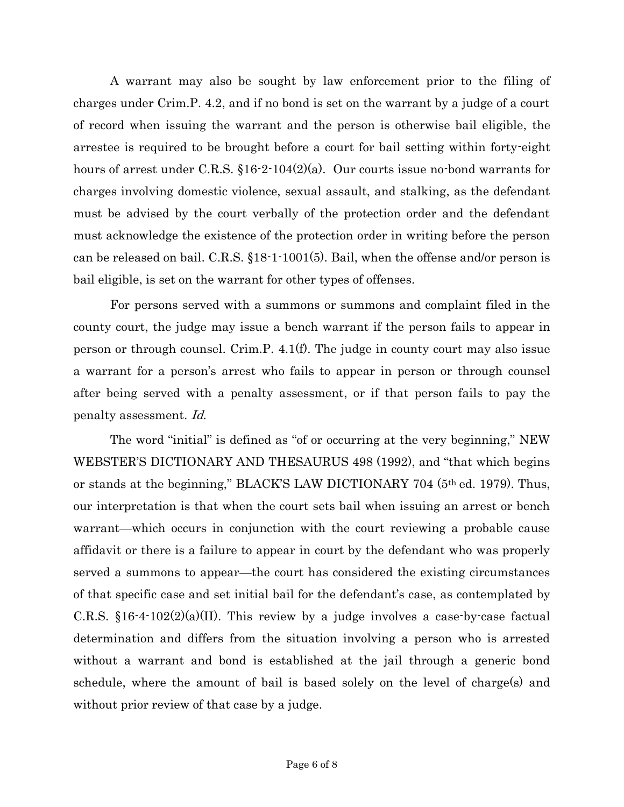A warrant may also be sought by law enforcement prior to the filing of charges under Crim.P. 4.2, and if no bond is set on the warrant by a judge of a court of record when issuing the warrant and the person is otherwise bail eligible, the arrestee is required to be brought before a court for bail setting within forty-eight hours of arrest under C.R.S. §16-2-104(2)(a). Our courts issue no-bond warrants for charges involving domestic violence, sexual assault, and stalking, as the defendant must be advised by the court verbally of the protection order and the defendant must acknowledge the existence of the protection order in writing before the person can be released on bail. C.R.S. §18-1-1001(5). Bail, when the offense and/or person is bail eligible, is set on the warrant for other types of offenses.

For persons served with a summons or summons and complaint filed in the county court, the judge may issue a bench warrant if the person fails to appear in person or through counsel. Crim.P. 4.1(f). The judge in county court may also issue a warrant for a person's arrest who fails to appear in person or through counsel after being served with a penalty assessment, or if that person fails to pay the penalty assessment. Id.

The word "initial" is defined as "of or occurring at the very beginning," NEW WEBSTER'S DICTIONARY AND THESAURUS 498 (1992), and "that which begins or stands at the beginning," BLACK'S LAW DICTIONARY 704 (5th ed. 1979). Thus, our interpretation is that when the court sets bail when issuing an arrest or bench warrant—which occurs in conjunction with the court reviewing a probable cause affidavit or there is a failure to appear in court by the defendant who was properly served a summons to appear—the court has considered the existing circumstances of that specific case and set initial bail for the defendant's case, as contemplated by C.R.S.  $$16-4-102(2)(a)(II)$ . This review by a judge involves a case-by-case factual determination and differs from the situation involving a person who is arrested without a warrant and bond is established at the jail through a generic bond schedule, where the amount of bail is based solely on the level of charge(s) and without prior review of that case by a judge.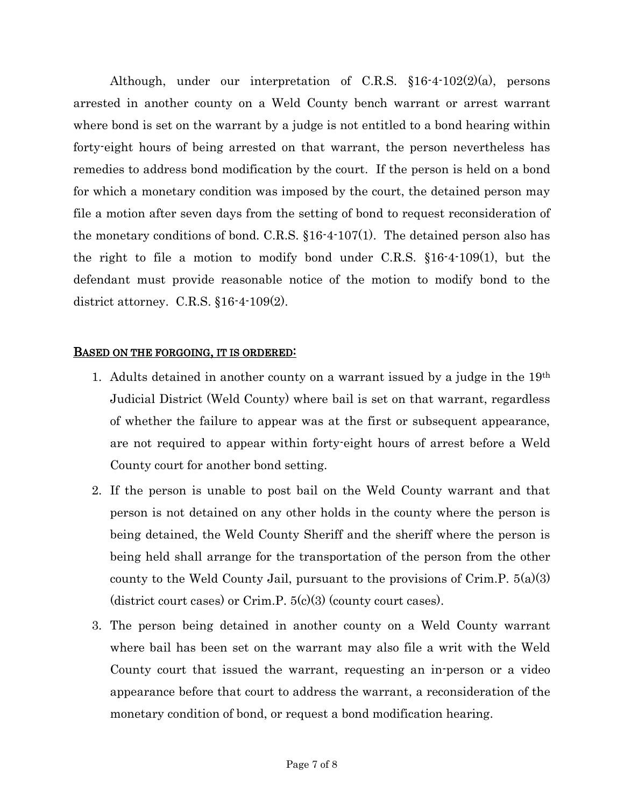Although, under our interpretation of C.R.S. §16-4-102(2)(a), persons arrested in another county on a Weld County bench warrant or arrest warrant where bond is set on the warrant by a judge is not entitled to a bond hearing within forty-eight hours of being arrested on that warrant, the person nevertheless has remedies to address bond modification by the court. If the person is held on a bond for which a monetary condition was imposed by the court, the detained person may file a motion after seven days from the setting of bond to request reconsideration of the monetary conditions of bond. C.R.S.  $$16-4-107(1)$ . The detained person also has the right to file a motion to modify bond under C.R.S. §16-4-109(1), but the defendant must provide reasonable notice of the motion to modify bond to the district attorney. C.R.S. §16-4-109(2).

## BASED ON THE FORGOING, IT IS ORDERED:

- 1. Adults detained in another county on a warrant issued by a judge in the  $19<sup>th</sup>$ Judicial District (Weld County) where bail is set on that warrant, regardless of whether the failure to appear was at the first or subsequent appearance, are not required to appear within forty-eight hours of arrest before a Weld County court for another bond setting.
- 2. If the person is unable to post bail on the Weld County warrant and that person is not detained on any other holds in the county where the person is being detained, the Weld County Sheriff and the sheriff where the person is being held shall arrange for the transportation of the person from the other county to the Weld County Jail, pursuant to the provisions of Crim.  $P. 5(a)(3)$ (district court cases) or Crim.P.  $5(c)(3)$  (county court cases).
- 3. The person being detained in another county on a Weld County warrant where bail has been set on the warrant may also file a writ with the Weld County court that issued the warrant, requesting an in-person or a video appearance before that court to address the warrant, a reconsideration of the monetary condition of bond, or request a bond modification hearing.